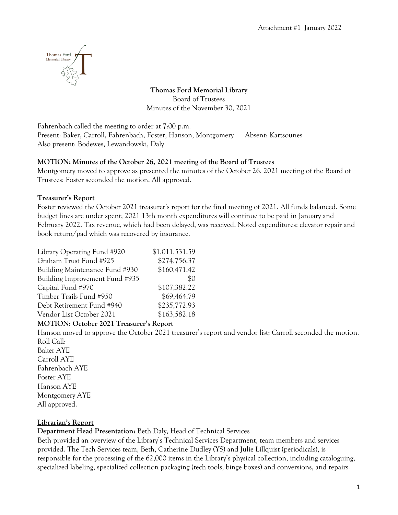

**Thomas Ford Memorial Library** Board of Trustees Minutes of the November 30, 2021

Fahrenbach called the meeting to order at 7:00 p.m. Present: Baker, Carroll, Fahrenbach, Foster, Hanson, Montgomery Absent: Kartsounes Also present: Bodewes, Lewandowski, Daly

## **MOTION: Minutes of the October 26, 2021 meeting of the Board of Trustees**

Montgomery moved to approve as presented the minutes of the October 26, 2021 meeting of the Board of Trustees; Foster seconded the motion. All approved.

## **Treasurer's Report**

Foster reviewed the October 2021 treasurer's report for the final meeting of 2021. All funds balanced. Some budget lines are under spent; 2021 13th month expenditures will continue to be paid in January and February 2022. Tax revenue, which had been delayed, was received. Noted expenditures: elevator repair and book return/pad which was recovered by insurance.

| Library Operating Fund #920    | \$1,011,531.59 |
|--------------------------------|----------------|
| Graham Trust Fund #925         | \$274,756.37   |
| Building Maintenance Fund #930 | \$160,471.42   |
| Building Improvement Fund #935 | \$0            |
| Capital Fund #970              | \$107,382.22   |
| Timber Trails Fund #950        | \$69,464.79    |
| Debt Retirement Fund #940      | \$235,772.93   |
| Vendor List October 2021       | \$163,582.18   |

### **MOTION: October 2021 Treasurer's Report**

Hanson moved to approve the October 2021 treasurer's report and vendor list; Carroll seconded the motion. Roll Call:

Baker AYE Carroll AYE Fahrenbach AYE Foster AYE Hanson AYE Montgomery AYE All approved.

## **Librarian's Report**

**Department Head Presentation:** Beth Daly, Head of Technical Services

Beth provided an overview of the Library's Technical Services Department, team members and services provided. The Tech Services team, Beth, Catherine Dudley (YS) and Julie Lillquist (periodicals), is responsible for the processing of the 62,000 items in the Library's physical collection, including cataloguing, specialized labeling, specialized collection packaging (tech tools, binge boxes) and conversions, and repairs.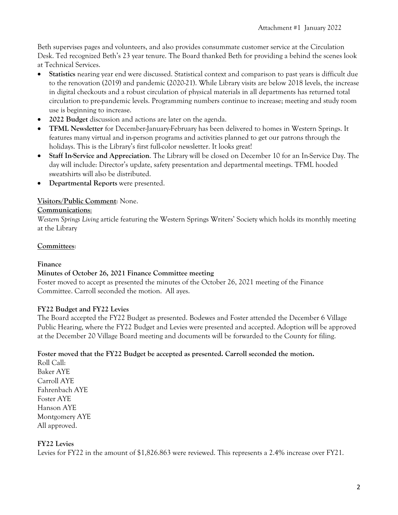Beth supervises pages and volunteers, and also provides consummate customer service at the Circulation Desk. Ted recognized Beth's 23 year tenure. The Board thanked Beth for providing a behind the scenes look at Technical Services.

- **Statistics** nearing year end were discussed. Statistical context and comparison to past years is difficult due to the renovation (2019) and pandemic (2020-21). While Library visits are below 2018 levels, the increase in digital checkouts and a robust circulation of physical materials in all departments has returned total circulation to pre-pandemic levels. Programming numbers continue to increase; meeting and study room use is beginning to increase.
- **2022 Budget** discussion and actions are later on the agenda.
- **TFML Newsletter** for December-January-February has been delivered to homes in Western Springs. It features many virtual and in-person programs and activities planned to get our patrons through the holidays. This is the Library's first full-color newsletter. It looks great!
- **Staff In-Service and Appreciation**. The Library will be closed on December 10 for an In-Service Day. The day will include: Director's update, safety presentation and departmental meetings. TFML hooded sweatshirts will also be distributed.
- **Departmental Reports** were presented.

## **Visitors/Public Comment**: None.

### **Communications**:

*Western Springs Living* article featuring the Western Springs Writers' Society which holds its monthly meeting at the Library

### **Committees**:

### **Finance**

### **Minutes of October 26, 2021 Finance Committee meeting**

Foster moved to accept as presented the minutes of the October 26, 2021 meeting of the Finance Committee. Carroll seconded the motion. All ayes.

### **FY22 Budget and FY22 Levies**

The Board accepted the FY22 Budget as presented. Bodewes and Foster attended the December 6 Village Public Hearing, where the FY22 Budget and Levies were presented and accepted. Adoption will be approved at the December 20 Village Board meeting and documents will be forwarded to the County for filing.

### **Foster moved that the FY22 Budget be accepted as presented. Carroll seconded the motion.**

Roll Call: Baker AYE Carroll AYE Fahrenbach AYE Foster AYE Hanson AYE Montgomery AYE All approved.

### **FY22 Levies**

Levies for FY22 in the amount of \$1,826.863 were reviewed. This represents a 2.4% increase over FY21.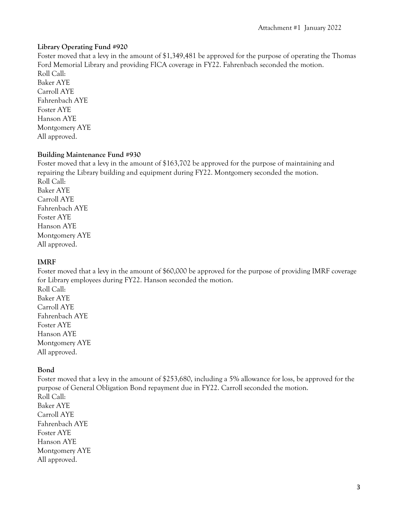### **Library Operating Fund #920**

Foster moved that a levy in the amount of \$1,349,481 be approved for the purpose of operating the Thomas Ford Memorial Library and providing FICA coverage in FY22. Fahrenbach seconded the motion. Roll Call: Baker AYE Carroll AYE Fahrenbach AYE Foster AYE Hanson AYE Montgomery AYE All approved.

## **Building Maintenance Fund #930**

Foster moved that a levy in the amount of \$163,702 be approved for the purpose of maintaining and repairing the Library building and equipment during FY22. Montgomery seconded the motion. Roll Call: Baker AYE Carroll AYE Fahrenbach AYE Foster AYE Hanson AYE Montgomery AYE All approved.

## **IMRF**

Foster moved that a levy in the amount of \$60,000 be approved for the purpose of providing IMRF coverage for Library employees during FY22. Hanson seconded the motion.

Roll Call: Baker AYE Carroll AYE Fahrenbach AYE Foster AYE Hanson AYE Montgomery AYE All approved.

## **Bond**

Foster moved that a levy in the amount of \$253,680, including a 5% allowance for loss, be approved for the purpose of General Obligation Bond repayment due in FY22. Carroll seconded the motion. Roll Call: Baker AYE Carroll AYE Fahrenbach AYE Foster AYE Hanson AYE Montgomery AYE All approved.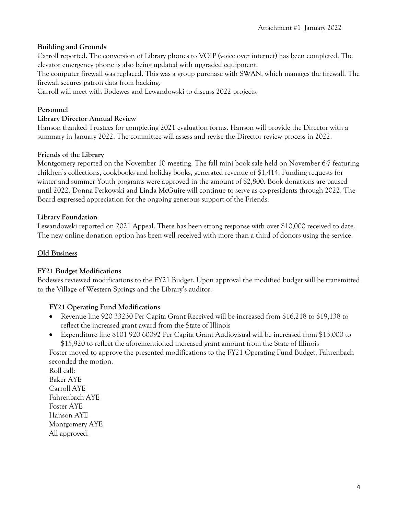## **Building and Grounds**

Carroll reported. The conversion of Library phones to VOIP (voice over internet) has been completed. The elevator emergency phone is also being updated with upgraded equipment.

The computer firewall was replaced. This was a group purchase with SWAN, which manages the firewall. The firewall secures patron data from hacking.

Carroll will meet with Bodewes and Lewandowski to discuss 2022 projects.

### **Personnel**

### **Library Director Annual Review**

Hanson thanked Trustees for completing 2021 evaluation forms. Hanson will provide the Director with a summary in January 2022. The committee will assess and revise the Director review process in 2022.

### **Friends of the Library**

Montgomery reported on the November 10 meeting. The fall mini book sale held on November 6-7 featuring children's collections, cookbooks and holiday books, generated revenue of \$1,414. Funding requests for winter and summer Youth programs were approved in the amount of \$2,800. Book donations are paused until 2022. Donna Perkowski and Linda McGuire will continue to serve as co-presidents through 2022. The Board expressed appreciation for the ongoing generous support of the Friends.

### **Library Foundation**

Lewandowski reported on 2021 Appeal. There has been strong response with over \$10,000 received to date. The new online donation option has been well received with more than a third of donors using the service.

## **Old Business**

### **FY21 Budget Modifications**

Bodewes reviewed modifications to the FY21 Budget. Upon approval the modified budget will be transmitted to the Village of Western Springs and the Library's auditor.

## **FY21 Operating Fund Modifications**

- Revenue line 920 33230 Per Capita Grant Received will be increased from \$16,218 to \$19,138 to reflect the increased grant award from the State of Illinois
- Expenditure line 8101 920 60092 Per Capita Grant Audiovisual will be increased from \$13,000 to \$15,920 to reflect the aforementioned increased grant amount from the State of Illinois

Foster moved to approve the presented modifications to the FY21 Operating Fund Budget. Fahrenbach seconded the motion.

Roll call: Baker AYE Carroll AYE Fahrenbach AYE Foster AYE Hanson AYE Montgomery AYE All approved.